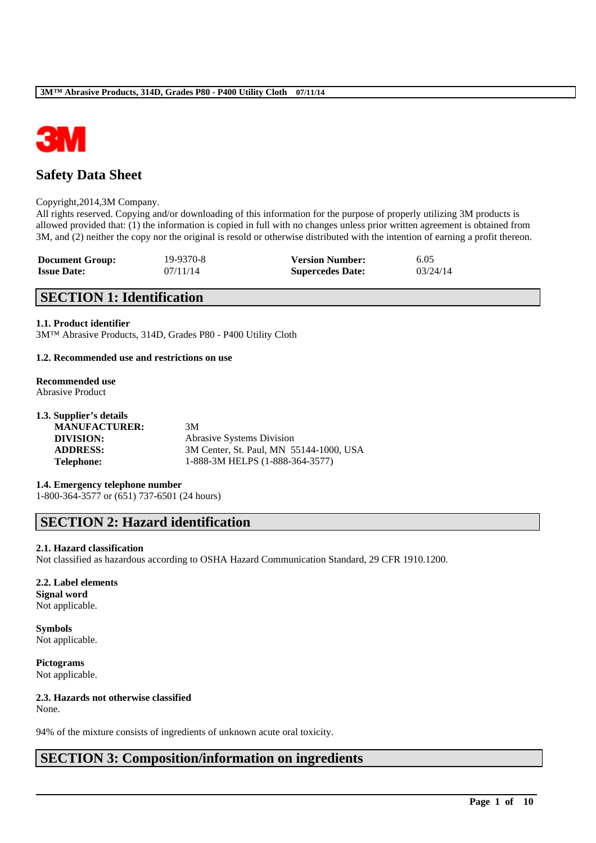

# **Safety Data Sheet**

#### Copyright,2014,3M Company.

All rights reserved. Copying and/or downloading of this information for the purpose of properly utilizing 3M products is allowed provided that: (1) the information is copied in full with no changes unless prior written agreement is obtained from 3M, and (2) neither the copy nor the original is resold or otherwise distributed with the intention of earning a profit thereon.

| <b>Document Group:</b> | 19-9370-8 | <b>Version Number:</b>  | 6.05     |
|------------------------|-----------|-------------------------|----------|
| <b>Issue Date:</b>     | 07/11/14  | <b>Supercedes Date:</b> | 03/24/14 |

# **SECTION 1: Identification**

### **1.1. Product identifier**

3M™ Abrasive Products, 314D, Grades P80 - P400 Utility Cloth

#### **1.2. Recommended use and restrictions on use**

# **Recommended use**

Abrasive Product

| 1.3. Supplier's details |                                         |
|-------------------------|-----------------------------------------|
| <b>MANUFACTURER:</b>    | 3M                                      |
| DIVISION:               | <b>Abrasive Systems Division</b>        |
| <b>ADDRESS:</b>         | 3M Center, St. Paul, MN 55144-1000, USA |
| <b>Telephone:</b>       | 1-888-3M HELPS (1-888-364-3577)         |
|                         |                                         |

**1.4. Emergency telephone number** 1-800-364-3577 or (651) 737-6501 (24 hours)

# **SECTION 2: Hazard identification**

## **2.1. Hazard classification**

Not classified as hazardous according to OSHA Hazard Communication Standard, 29 CFR 1910.1200.

\_\_\_\_\_\_\_\_\_\_\_\_\_\_\_\_\_\_\_\_\_\_\_\_\_\_\_\_\_\_\_\_\_\_\_\_\_\_\_\_\_\_\_\_\_\_\_\_\_\_\_\_\_\_\_\_\_\_\_\_\_\_\_\_\_\_\_\_\_\_\_\_\_\_\_\_\_\_\_\_\_\_\_\_\_\_\_\_\_\_

#### **2.2. Label elements**

**Signal word** Not applicable.

**Symbols** Not applicable.

**Pictograms** Not applicable.

# **2.3. Hazards not otherwise classified**

None.

94% of the mixture consists of ingredients of unknown acute oral toxicity.

# **SECTION 3: Composition/information on ingredients**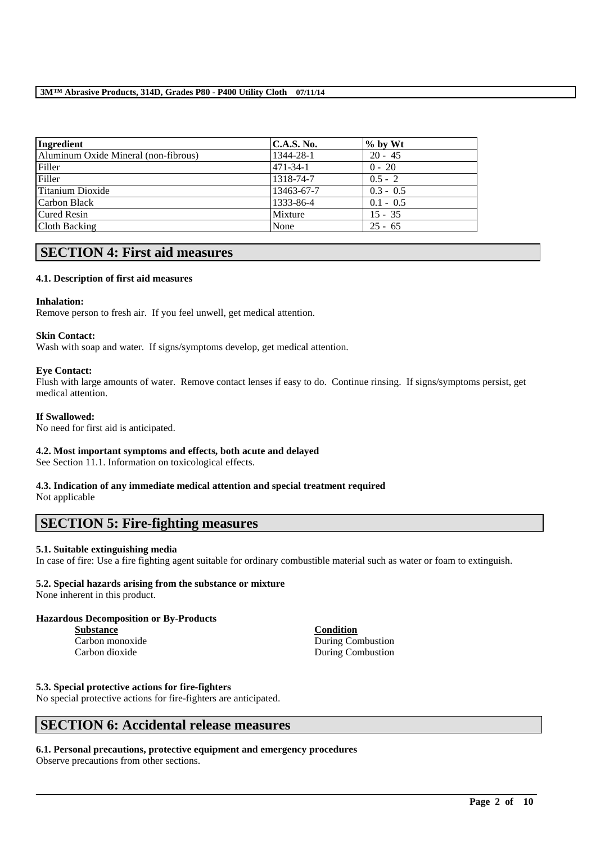| Ingredient                           | <b>C.A.S. No.</b> | $\%$ by Wt  |
|--------------------------------------|-------------------|-------------|
| Aluminum Oxide Mineral (non-fibrous) | 1344-28-1         | $20 - 45$   |
| Filler                               | 471-34-1          | $0 - 20$    |
| Filler                               | 1318-74-7         | $0.5 - 2$   |
| Titanium Dioxide                     | 13463-67-7        | $0.3 - 0.5$ |
| Carbon Black                         | 1333-86-4         | $0.1 - 0.5$ |
| Cured Resin                          | Mixture           | $15 - 35$   |
| Cloth Backing                        | None              | $25 - 65$   |

# **SECTION 4: First aid measures**

## **4.1. Description of first aid measures**

### **Inhalation:**

Remove person to fresh air. If you feel unwell, get medical attention.

### **Skin Contact:**

Wash with soap and water. If signs/symptoms develop, get medical attention.

### **Eye Contact:**

Flush with large amounts of water. Remove contact lenses if easy to do. Continue rinsing. If signs/symptoms persist, get medical attention.

### **If Swallowed:**

No need for first aid is anticipated.

# **4.2. Most important symptoms and effects, both acute and delayed**

See Section 11.1. Information on toxicological effects.

# **4.3. Indication of any immediate medical attention and special treatment required**

Not applicable

# **SECTION 5: Fire-fighting measures**

## **5.1. Suitable extinguishing media**

In case of fire: Use a fire fighting agent suitable for ordinary combustible material such as water or foam to extinguish.

# **5.2. Special hazards arising from the substance or mixture**

None inherent in this product.

# **Hazardous Decomposition or By-Products**

| <b>Substance</b> | Condition         |
|------------------|-------------------|
| Carbon monoxide  | During Combustion |
| Carbon dioxide   | During Combustion |

# **5.3. Special protective actions for fire-fighters**

No special protective actions for fire-fighters are anticipated.

# **SECTION 6: Accidental release measures**

#### **6.1. Personal precautions, protective equipment and emergency procedures** Observe precautions from other sections.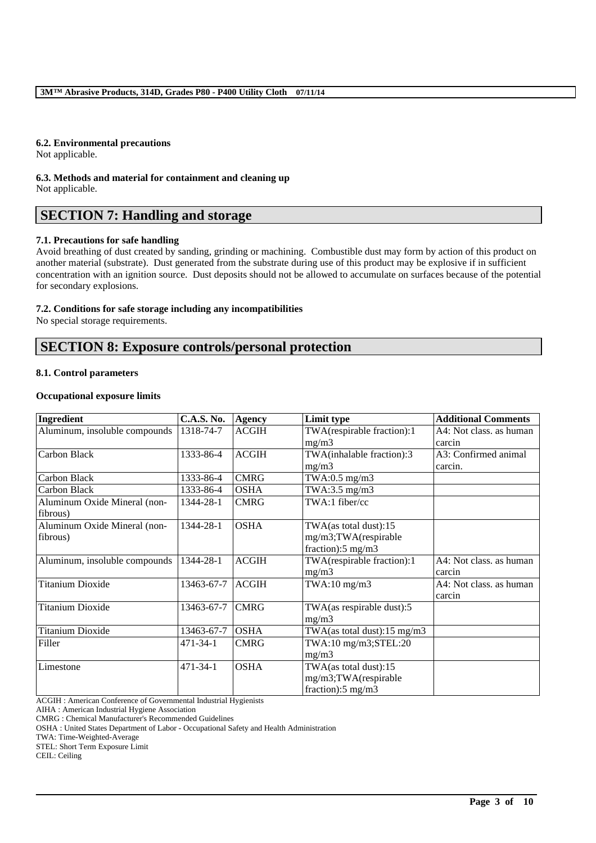### **6.2. Environmental precautions**

Not applicable.

**6.3. Methods and material for containment and cleaning up** Not applicable.

# **SECTION 7: Handling and storage**

## **7.1. Precautions for safe handling**

Avoid breathing of dust created by sanding, grinding or machining. Combustible dust may form by action of this product on another material (substrate). Dust generated from the substrate during use of this product may be explosive if in sufficient concentration with an ignition source. Dust deposits should not be allowed to accumulate on surfaces because of the potential for secondary explosions.

### **7.2. Conditions for safe storage including any incompatibilities**

No special storage requirements.

# **SECTION 8: Exposure controls/personal protection**

### **8.1. Control parameters**

### **Occupational exposure limits**

| <b>Ingredient</b>             | <b>C.A.S. No.</b> | <b>Agency</b> | Limit type                    | <b>Additional Comments</b> |
|-------------------------------|-------------------|---------------|-------------------------------|----------------------------|
| Aluminum, insoluble compounds | 1318-74-7         | <b>ACGIH</b>  | TWA(respirable fraction):1    | A4: Not class. as human    |
|                               |                   |               | mg/m3                         | carcin                     |
| Carbon Black                  | 1333-86-4         | <b>ACGIH</b>  | TWA(inhalable fraction):3     | A3: Confirmed animal       |
|                               |                   |               | mg/m3                         | carcin.                    |
| Carbon Black                  | 1333-86-4         | <b>CMRG</b>   | TWA:0.5 $mg/m3$               |                            |
| Carbon Black                  | 1333-86-4         | <b>OSHA</b>   | TWA:3.5 mg/m3                 |                            |
| Aluminum Oxide Mineral (non-  | 1344-28-1         | <b>CMRG</b>   | $TWA:1$ fiber/cc              |                            |
| fibrous)                      |                   |               |                               |                            |
| Aluminum Oxide Mineral (non-  | 1344-28-1         | <b>OSHA</b>   | TWA(as total dust):15         |                            |
| fibrous)                      |                   |               | mg/m3;TWA(respirable          |                            |
|                               |                   |               | fraction):5 mg/m3             |                            |
| Aluminum, insoluble compounds | 1344-28-1         | <b>ACGIH</b>  | TWA(respirable fraction):1    | A4: Not class. as human    |
|                               |                   |               | mg/m3                         | carcin                     |
| <b>Titanium Dioxide</b>       | 13463-67-7        | <b>ACGIH</b>  | $TWA:10$ mg/m $3$             | A4: Not class. as human    |
|                               |                   |               |                               | carcin                     |
| <b>Titanium Dioxide</b>       | 13463-67-7        | <b>CMRG</b>   | TWA(as respirable dust):5     |                            |
|                               |                   |               | mg/m3                         |                            |
| <b>Titanium Dioxide</b>       | 13463-67-7        | <b>OSHA</b>   | TWA(as total dust):15 mg/m3   |                            |
| Filler                        | $471 - 34 - 1$    | <b>CMRG</b>   | TWA:10 mg/m3;STEL:20          |                            |
|                               |                   |               | mg/m3                         |                            |
| Limestone                     | $471 - 34 - 1$    | <b>OSHA</b>   | TWA(as total dust):15         |                            |
|                               |                   |               | mg/m3;TWA(respirable          |                            |
|                               |                   |               | fraction): $5 \text{ mg/m}$ 3 |                            |

\_\_\_\_\_\_\_\_\_\_\_\_\_\_\_\_\_\_\_\_\_\_\_\_\_\_\_\_\_\_\_\_\_\_\_\_\_\_\_\_\_\_\_\_\_\_\_\_\_\_\_\_\_\_\_\_\_\_\_\_\_\_\_\_\_\_\_\_\_\_\_\_\_\_\_\_\_\_\_\_\_\_\_\_\_\_\_\_\_\_

ACGIH : American Conference of Governmental Industrial Hygienists

AIHA : American Industrial Hygiene Association

CMRG : Chemical Manufacturer's Recommended Guidelines

OSHA : United States Department of Labor - Occupational Safety and Health Administration

TWA: Time-Weighted-Average

STEL: Short Term Exposure Limit

CEIL: Ceiling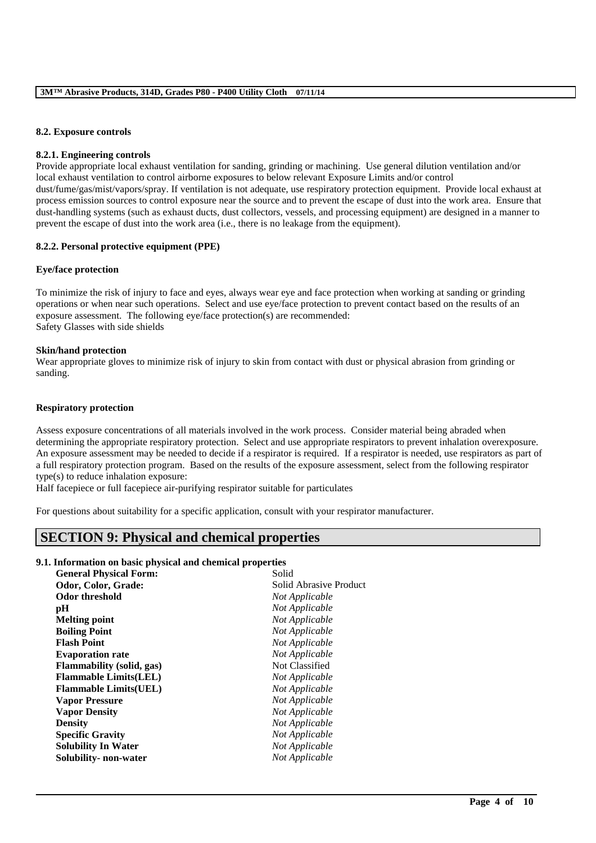### **8.2. Exposure controls**

#### **8.2.1. Engineering controls**

Provide appropriate local exhaust ventilation for sanding, grinding or machining. Use general dilution ventilation and/or local exhaust ventilation to control airborne exposures to below relevant Exposure Limits and/or control dust/fume/gas/mist/vapors/spray. If ventilation is not adequate, use respiratory protection equipment. Provide local exhaust at process emission sources to control exposure near the source and to prevent the escape of dust into the work area. Ensure that dust-handling systems (such as exhaust ducts, dust collectors, vessels, and processing equipment) are designed in a manner to prevent the escape of dust into the work area (i.e., there is no leakage from the equipment).

### **8.2.2. Personal protective equipment (PPE)**

### **Eye/face protection**

To minimize the risk of injury to face and eyes, always wear eye and face protection when working at sanding or grinding operations or when near such operations. Select and use eye/face protection to prevent contact based on the results of an exposure assessment. The following eye/face protection(s) are recommended: Safety Glasses with side shields

#### **Skin/hand protection**

Wear appropriate gloves to minimize risk of injury to skin from contact with dust or physical abrasion from grinding or sanding.

### **Respiratory protection**

Assess exposure concentrations of all materials involved in the work process. Consider material being abraded when determining the appropriate respiratory protection. Select and use appropriate respirators to prevent inhalation overexposure. An exposure assessment may be needed to decide if a respirator is required. If a respirator is needed, use respirators as part of a full respiratory protection program. Based on the results of the exposure assessment, select from the following respirator type(s) to reduce inhalation exposure:

\_\_\_\_\_\_\_\_\_\_\_\_\_\_\_\_\_\_\_\_\_\_\_\_\_\_\_\_\_\_\_\_\_\_\_\_\_\_\_\_\_\_\_\_\_\_\_\_\_\_\_\_\_\_\_\_\_\_\_\_\_\_\_\_\_\_\_\_\_\_\_\_\_\_\_\_\_\_\_\_\_\_\_\_\_\_\_\_\_\_

Half facepiece or full facepiece air-purifying respirator suitable for particulates

For questions about suitability for a specific application, consult with your respirator manufacturer.

# **SECTION 9: Physical and chemical properties**

### **9.1. Information on basic physical and chemical properties**

| <b>General Physical Form:</b>    | Solid                  |
|----------------------------------|------------------------|
| Odor, Color, Grade:              | Solid Abrasive Product |
| <b>Odor threshold</b>            | Not Applicable         |
| pH                               | Not Applicable         |
| <b>Melting point</b>             | Not Applicable         |
| <b>Boiling Point</b>             | Not Applicable         |
| <b>Flash Point</b>               | Not Applicable         |
| <b>Evaporation rate</b>          | Not Applicable         |
| <b>Flammability</b> (solid, gas) | Not Classified         |
| <b>Flammable Limits(LEL)</b>     | Not Applicable         |
| <b>Flammable Limits(UEL)</b>     | Not Applicable         |
| <b>Vapor Pressure</b>            | Not Applicable         |
| <b>Vapor Density</b>             | Not Applicable         |
| <b>Density</b>                   | Not Applicable         |
| <b>Specific Gravity</b>          | Not Applicable         |
| <b>Solubility In Water</b>       | Not Applicable         |
| Solubility- non-water            | Not Applicable         |
|                                  |                        |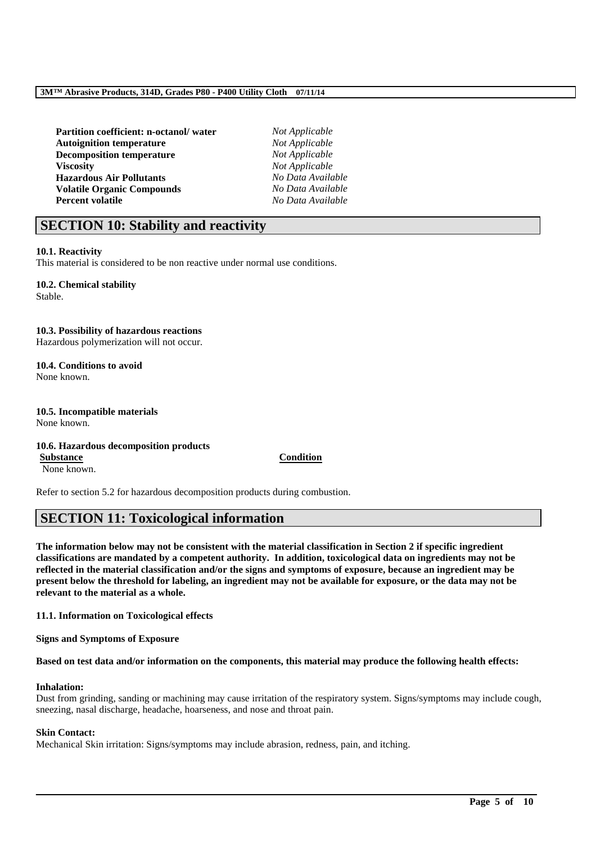| Partition coefficient: n-octanol/water |  |
|----------------------------------------|--|
| <b>Autoignition temperature</b>        |  |
| <b>Decomposition temperature</b>       |  |
| <b>Viscosity</b>                       |  |
| <b>Hazardous Air Pollutants</b>        |  |
| <b>Volatile Organic Compounds</b>      |  |
| <b>Percent volatile</b>                |  |

 $Not Appliedble$ **Not Applicable**  $Not Appliedble$  $Not Apolicable$ **Hazardous Air Pollutants** *No Data Available* **Volatile Organic Compounds** *No Data Available* **Percent volatile** *No Data Available*

# **SECTION 10: Stability and reactivity**

## **10.1. Reactivity**

This material is considered to be non reactive under normal use conditions.

# **10.2. Chemical stability**

Stable.

### **10.3. Possibility of hazardous reactions**

Hazardous polymerization will not occur.

**10.4. Conditions to avoid** None known.

#### **10.5. Incompatible materials** None known.

### **10.6. Hazardous decomposition products Substance Condition**

None known.

Refer to section 5.2 for hazardous decomposition products during combustion.

# **SECTION 11: Toxicological information**

**The information below may not be consistent with the material classification in Section 2 if specific ingredient classifications are mandated by a competent authority. In addition, toxicological data on ingredients may not be reflected in the material classification and/or the signs and symptoms of exposure, because an ingredient may be present below the threshold for labeling, an ingredient may not be available for exposure, or the data may not be relevant to the material as a whole.**

**11.1. Information on Toxicological effects**

**Signs and Symptoms of Exposure**

#### **Based on test data and/or information on the components, this material may produce the following health effects:**

# **Inhalation:**

Dust from grinding, sanding or machining may cause irritation of the respiratory system. Signs/symptoms may include cough, sneezing, nasal discharge, headache, hoarseness, and nose and throat pain.

\_\_\_\_\_\_\_\_\_\_\_\_\_\_\_\_\_\_\_\_\_\_\_\_\_\_\_\_\_\_\_\_\_\_\_\_\_\_\_\_\_\_\_\_\_\_\_\_\_\_\_\_\_\_\_\_\_\_\_\_\_\_\_\_\_\_\_\_\_\_\_\_\_\_\_\_\_\_\_\_\_\_\_\_\_\_\_\_\_\_

## **Skin Contact:**

Mechanical Skin irritation: Signs/symptoms may include abrasion, redness, pain, and itching.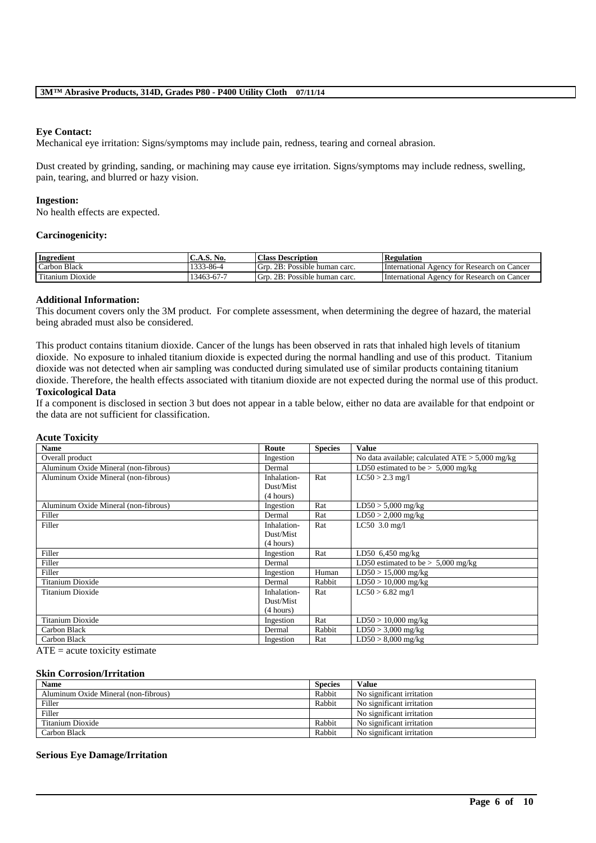### **Eye Contact:**

Mechanical eye irritation: Signs/symptoms may include pain, redness, tearing and corneal abrasion.

Dust created by grinding, sanding, or machining may cause eye irritation. Signs/symptoms may include redness, swelling, pain, tearing, and blurred or hazy vision.

### **Ingestion:**

No health effects are expected.

### **Carcinogenicity:**

| Ingredient       | C.A.S. No. | <b>Class Description</b>         | <b>Regulation</b>                           |
|------------------|------------|----------------------------------|---------------------------------------------|
| Carbon Black     | 1333-86-4  | Grp. 2B: Possible human carc.    | International Agency for Research on Cancer |
| Titanium Dioxide | 13463-67-7 | Grn.<br>2B: Possible human carc. | International Agency for Research on Cancer |

### **Additional Information:**

This document covers only the 3M product. For complete assessment, when determining the degree of hazard, the material being abraded must also be considered.

This product contains titanium dioxide. Cancer of the lungs has been observed in rats that inhaled high levels of titanium dioxide. No exposure to inhaled titanium dioxide is expected during the normal handling and use of this product. Titanium dioxide was not detected when air sampling was conducted during simulated use of similar products containing titanium dioxide. Therefore, the health effects associated with titanium dioxide are not expected during the normal use of this product. **Toxicological Data**

### If a component is disclosed in section 3 but does not appear in a table below, either no data are available for that endpoint or the data are not sufficient for classification.

| <b>Acute Toxicity</b>                |             |                |                                                   |
|--------------------------------------|-------------|----------------|---------------------------------------------------|
| <b>Name</b>                          | Route       | <b>Species</b> | <b>Value</b>                                      |
| Overall product                      | Ingestion   |                | No data available; calculated $ATE > 5,000$ mg/kg |
| Aluminum Oxide Mineral (non-fibrous) | Dermal      |                | LD50 estimated to be $> 5,000$ mg/kg              |
| Aluminum Oxide Mineral (non-fibrous) | Inhalation- | Rat            | $LC50 > 2.3$ mg/l                                 |
|                                      | Dust/Mist   |                |                                                   |
|                                      | (4 hours)   |                |                                                   |
| Aluminum Oxide Mineral (non-fibrous) | Ingestion   | Rat            | $LD50 > 5,000$ mg/kg                              |
| Filler                               | Dermal      | Rat            | $LD50 > 2,000$ mg/kg                              |
| Filler                               | Inhalation- | Rat            | $LC50$ 3.0 mg/l                                   |
|                                      | Dust/Mist   |                |                                                   |
|                                      | (4 hours)   |                |                                                   |
| Filler                               | Ingestion   | Rat            | LD50 $6,450$ mg/kg                                |
| Filler                               | Dermal      |                | LD50 estimated to be $> 5,000$ mg/kg              |
| Filler                               | Ingestion   | Human          | $LD50 > 15,000$ mg/kg                             |
| Titanium Dioxide                     | Dermal      | Rabbit         | $LD50 > 10,000$ mg/kg                             |
| Titanium Dioxide                     | Inhalation- | Rat            | $LC50 > 6.82$ mg/l                                |
|                                      | Dust/Mist   |                |                                                   |
|                                      | (4 hours)   |                |                                                   |
| Titanium Dioxide                     | Ingestion   | Rat            | $LD50 > 10,000$ mg/kg                             |
| Carbon Black                         | Dermal      | Rabbit         | $LD50 > 3,000$ mg/kg                              |
| Carbon Black                         | Ingestion   | Rat            | $LD50 > 8,000$ mg/kg                              |

 $ATE = acute$  toxicity estimate

### **Skin Corrosion/Irritation**

| <b>Name</b>                          | <b>Species</b> | Value                     |
|--------------------------------------|----------------|---------------------------|
| Aluminum Oxide Mineral (non-fibrous) | Rabbit         | No significant irritation |
| Filler                               | Rabbit         | No significant irritation |
| Filler                               |                | No significant irritation |
| Titanium Dioxide                     | Rabbit         | No significant irritation |
| Carbon Black                         | Rabbit         | No significant irritation |

\_\_\_\_\_\_\_\_\_\_\_\_\_\_\_\_\_\_\_\_\_\_\_\_\_\_\_\_\_\_\_\_\_\_\_\_\_\_\_\_\_\_\_\_\_\_\_\_\_\_\_\_\_\_\_\_\_\_\_\_\_\_\_\_\_\_\_\_\_\_\_\_\_\_\_\_\_\_\_\_\_\_\_\_\_\_\_\_\_\_

#### **Serious Eye Damage/Irritation**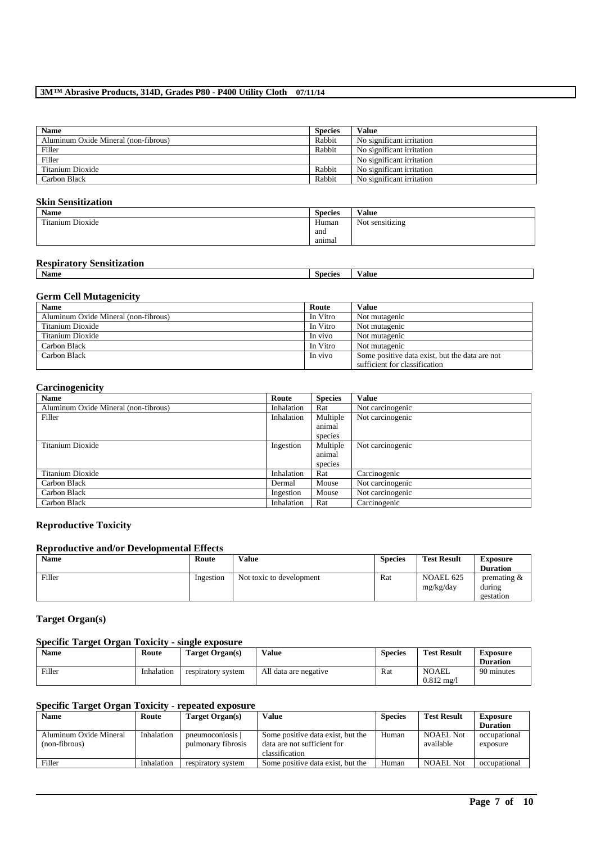| <b>Name</b>                          | <b>Species</b> | <b>Value</b>              |
|--------------------------------------|----------------|---------------------------|
| Aluminum Oxide Mineral (non-fibrous) | Rabbit         | No significant irritation |
| Filler                               | Rabbit         | No significant irritation |
| Filler                               |                | No significant irritation |
| Titanium Dioxide                     | Rabbit         | No significant irritation |
| Carbon Black                         | Rabbit         | No significant irritation |

# **Skin Sensitization**

| Name             | <b>Species</b> | Value                       |
|------------------|----------------|-----------------------------|
| Titanium Dioxide | Human          | $\cdots$<br>Not sensitizing |
|                  | and            |                             |
|                  | animal         |                             |

# **Respiratory Sensitization**

| <b>Name</b> | Species | ⁄ alue<br>. |
|-------------|---------|-------------|
|             |         |             |

# **Germ Cell Mutagenicity**

| <b>Name</b>                          | Route    | <b>Value</b>                                   |
|--------------------------------------|----------|------------------------------------------------|
| Aluminum Oxide Mineral (non-fibrous) | In Vitro | Not mutagenic                                  |
| Titanium Dioxide                     | In Vitro | Not mutagenic                                  |
| Titanium Dioxide                     | In vivo  | Not mutagenic                                  |
| Carbon Black                         | In Vitro | Not mutagenic                                  |
| Carbon Black                         | In vivo  | Some positive data exist, but the data are not |
|                                      |          | sufficient for classification                  |

# **Carcinogenicity**

| <b>Name</b>                          | Route      | <b>Species</b> | <b>Value</b>     |
|--------------------------------------|------------|----------------|------------------|
| Aluminum Oxide Mineral (non-fibrous) | Inhalation | Rat            | Not carcinogenic |
| Filler                               | Inhalation | Multiple       | Not carcinogenic |
|                                      |            | animal         |                  |
|                                      |            | species        |                  |
| Titanium Dioxide                     | Ingestion  | Multiple       | Not carcinogenic |
|                                      |            | animal         |                  |
|                                      |            | species        |                  |
| Titanium Dioxide                     | Inhalation | Rat            | Carcinogenic     |
| Carbon Black                         | Dermal     | Mouse          | Not carcinogenic |
| Carbon Black                         | Ingestion  | Mouse          | Not carcinogenic |
| Carbon Black                         | Inhalation | Rat            | Carcinogenic     |

# **Reproductive Toxicity**

## **Reproductive and/or Developmental Effects**

| <b>Name</b> | Route     | Value                    | <b>Species</b> | <b>Test Result</b>     | <b>Exposure</b><br><b>Duration</b>             |
|-------------|-----------|--------------------------|----------------|------------------------|------------------------------------------------|
| Filler      | Ingestion | Not toxic to development | Rat            | NOAEL 625<br>mg/kg/day | $v$ or $v$ are $\alpha$<br>during<br>gestation |

# **Target Organ(s)**

# **Specific Target Organ Toxicity - single exposure**

| <b>Name</b> | Route      | Target Organ(s)    | Value                 | <b>Species</b> | <b>Test Result</b>                   | <b>Exposure</b><br><b>Duration</b> |
|-------------|------------|--------------------|-----------------------|----------------|--------------------------------------|------------------------------------|
| Filler      | Inhalation | respiratory system | All data are negative | Rat            | <b>NOAEL</b><br>$0.812 \text{ mg}/1$ | 90 minutes                         |

### **Specific Target Organ Toxicity - repeated exposure**

| <b>Name</b>                             | Route      | Target Organ(s)                      | Value                                                                              | <b>Species</b> | <b>Test Result</b>            | <b>Exposure</b>          |
|-----------------------------------------|------------|--------------------------------------|------------------------------------------------------------------------------------|----------------|-------------------------------|--------------------------|
|                                         |            |                                      |                                                                                    |                |                               | <b>Duration</b>          |
| Aluminum Oxide Mineral<br>(non-fibrous) | Inhalation | pneumoconiosis<br>pulmonary fibrosis | Some positive data exist, but the<br>data are not sufficient for<br>classification | Human          | <b>NOAEL Not</b><br>available | occupational<br>exposure |
| Filler                                  | Inhalation | respiratory system                   | Some positive data exist, but the                                                  | Human          | <b>NOAEL Not</b>              | occupational             |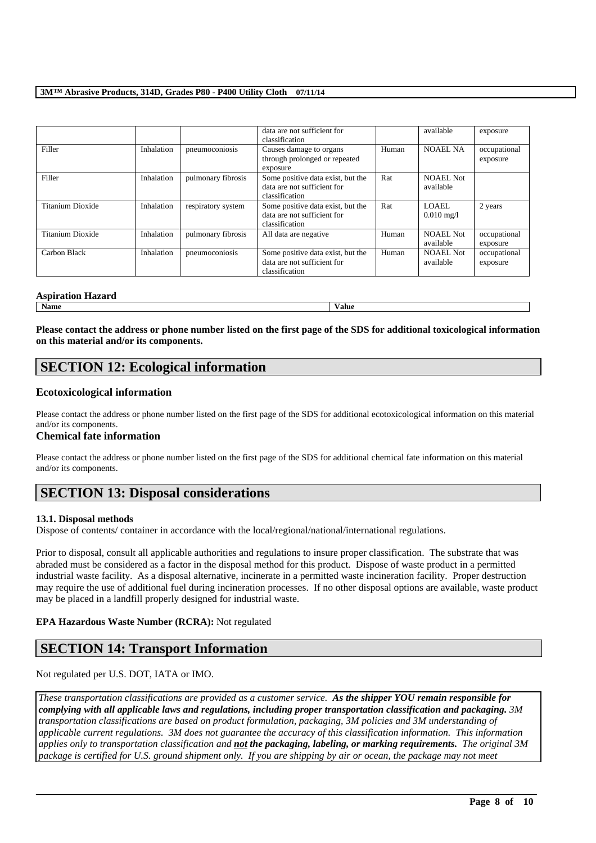|                         |            |                    | data are not sufficient for<br>classification                                      |       | available                     | exposure                 |
|-------------------------|------------|--------------------|------------------------------------------------------------------------------------|-------|-------------------------------|--------------------------|
| Filler                  | Inhalation | pneumoconiosis     | Causes damage to organs<br>through prolonged or repeated<br>exposure               | Human | <b>NOAEL NA</b>               | occupational<br>exposure |
| Filler                  | Inhalation | pulmonary fibrosis | Some positive data exist, but the<br>data are not sufficient for<br>classification | Rat   | NOAEL Not<br>available        |                          |
| Titanium Dioxide        | Inhalation | respiratory system | Some positive data exist, but the<br>data are not sufficient for<br>classification | Rat   | LOAEL<br>$0.010 \text{ mg}/1$ | 2 years                  |
| <b>Titanium Dioxide</b> | Inhalation | pulmonary fibrosis | All data are negative                                                              | Human | <b>NOAEL Not</b><br>available | occupational<br>exposure |
| Carbon Black            | Inhalation | pneumoconiosis     | Some positive data exist, but the<br>data are not sufficient for<br>classification | Human | NOAEL Not<br>available        | occupational<br>exposure |

### **Aspiration Hazard**

**Name Value**

**Please contact the address or phone number listed on the first page of the SDS for additional toxicological information on this material and/or its components.**

# **SECTION 12: Ecological information**

# **Ecotoxicological information**

Please contact the address or phone number listed on the first page of the SDS for additional ecotoxicological information on this material and/or its components.

## **Chemical fate information**

Please contact the address or phone number listed on the first page of the SDS for additional chemical fate information on this material and/or its components.

# **SECTION 13: Disposal considerations**

## **13.1. Disposal methods**

Dispose of contents/ container in accordance with the local/regional/national/international regulations.

Prior to disposal, consult all applicable authorities and regulations to insure proper classification. The substrate that was abraded must be considered as a factor in the disposal method for this product. Dispose of waste product in a permitted industrial waste facility. As a disposal alternative, incinerate in a permitted waste incineration facility. Proper destruction may require the use of additional fuel during incineration processes. If no other disposal options are available, waste product may be placed in a landfill properly designed for industrial waste.

## **EPA Hazardous Waste Number (RCRA):** Not regulated

# **SECTION 14: Transport Information**

Not regulated per U.S. DOT, IATA or IMO.

*These transportation classifications are provided as a customer service. As the shipper YOU remain responsible for complying with all applicable laws and regulations, including proper transportation classification and packaging. 3M transportation classifications are based on product formulation, packaging, 3M policies and 3M understanding of applicable current regulations. 3M does not guarantee the accuracy of this classification information. This information applies only to transportation classification and not the packaging, labeling, or marking requirements. The original 3M package is certified for U.S. ground shipment only. If you are shipping by air or ocean, the package may not meet*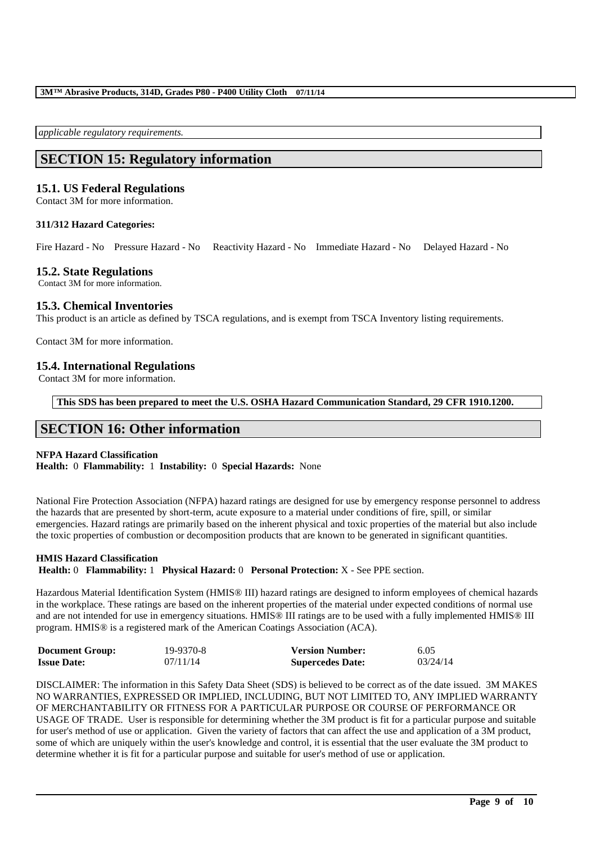*applicable regulatory requirements.* 

# **SECTION 15: Regulatory information**

# **15.1. US Federal Regulations**

Contact 3M for more information.

### **311/312 Hazard Categories:**

Fire Hazard - No Pressure Hazard - No Reactivity Hazard - No Immediate Hazard - No Delayed Hazard - No

## **15.2. State Regulations**

Contact 3M for more information.

# **15.3. Chemical Inventories**

This product is an article as defined by TSCA regulations, and is exempt from TSCA Inventory listing requirements.

Contact 3M for more information.

# **15.4. International Regulations**

Contact 3M for more information.

**This SDS has been prepared to meet the U.S. OSHA Hazard Communication Standard, 29 CFR 1910.1200.**

# **SECTION 16: Other information**

## **NFPA Hazard Classification**

**Health:** 0 **Flammability:** 1 **Instability:** 0 **Special Hazards:** None

National Fire Protection Association (NFPA) hazard ratings are designed for use by emergency response personnel to address the hazards that are presented by short-term, acute exposure to a material under conditions of fire, spill, or similar emergencies. Hazard ratings are primarily based on the inherent physical and toxic properties of the material but also include the toxic properties of combustion or decomposition products that are known to be generated in significant quantities.

#### **HMIS Hazard Classification**

**Health:** 0 **Flammability:** 1 **Physical Hazard:** 0 **Personal Protection:** X - See PPE section.

Hazardous Material Identification System (HMIS® III) hazard ratings are designed to inform employees of chemical hazards in the workplace. These ratings are based on the inherent properties of the material under expected conditions of normal use and are not intended for use in emergency situations. HMIS® III ratings are to be used with a fully implemented HMIS® III program. HMIS® is a registered mark of the American Coatings Association (ACA).

| <b>Document Group:</b> | 19-9370-8 | <b>Version Number:</b>  | 6.05     |
|------------------------|-----------|-------------------------|----------|
| <b>Issue Date:</b>     | 07/11/14  | <b>Supercedes Date:</b> | 03/24/14 |

DISCLAIMER: The information in this Safety Data Sheet (SDS) is believed to be correct as of the date issued. 3M MAKES NO WARRANTIES, EXPRESSED OR IMPLIED, INCLUDING, BUT NOT LIMITED TO, ANY IMPLIED WARRANTY OF MERCHANTABILITY OR FITNESS FOR A PARTICULAR PURPOSE OR COURSE OF PERFORMANCE OR USAGE OF TRADE. User is responsible for determining whether the 3M product is fit for a particular purpose and suitable for user's method of use or application. Given the variety of factors that can affect the use and application of a 3M product, some of which are uniquely within the user's knowledge and control, it is essential that the user evaluate the 3M product to determine whether it is fit for a particular purpose and suitable for user's method of use or application.